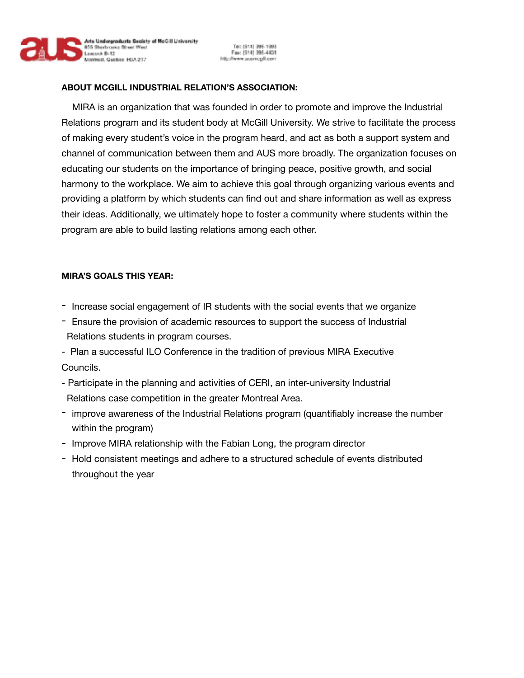

Tel: (614) 396-1998<br>Fax: (614) 396-4431 http://www.ausmcgil.com

## **ABOUT MCGILL INDUSTRIAL RELATION'S ASSOCIATION:**

 MIRA is an organization that was founded in order to promote and improve the Industrial Relations program and its student body at McGill University. We strive to facilitate the process of making every student's voice in the program heard, and act as both a support system and channel of communication between them and AUS more broadly. The organization focuses on educating our students on the importance of bringing peace, positive growth, and social harmony to the workplace. We aim to achieve this goal through organizing various events and providing a platform by which students can find out and share information as well as express their ideas. Additionally, we ultimately hope to foster a community where students within the program are able to build lasting relations among each other.

## **MIRA'S GOALS THIS YEAR:**

- Increase social engagement of IR students with the social events that we organize
- Ensure the provision of academic resources to support the success of Industrial Relations students in program courses.
- Plan a successful ILO Conference in the tradition of previous MIRA Executive Councils.
- Participate in the planning and activities of CERI, an inter-university Industrial Relations case competition in the greater Montreal Area.
- improve awareness of the Industrial Relations program (quantifiably increase the number within the program)
- Improve MIRA relationship with the Fabian Long, the program director
- Hold consistent meetings and adhere to a structured schedule of events distributed throughout the year